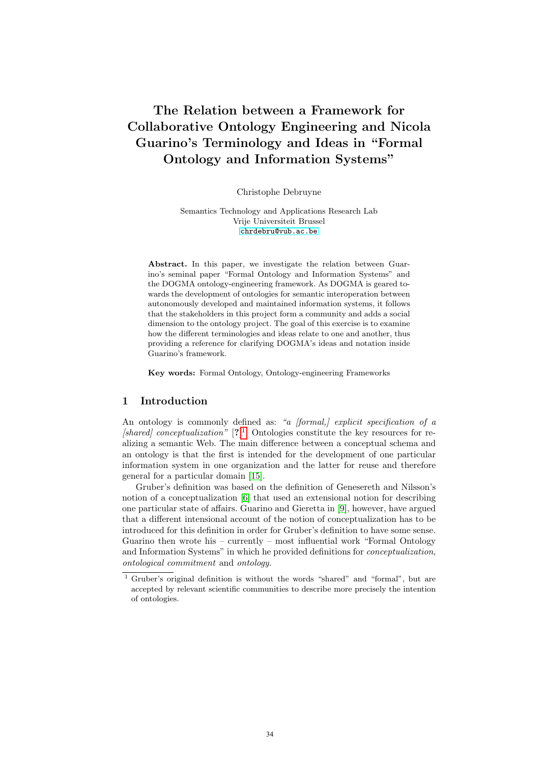# The Relation between a Framework for Collaborative Ontology Engineering and Nicola Guarino's Terminology and Ideas in "Formal Ontology and Information Systems"

Christophe Debruyne

Semantics Technology and Applications Research Lab Vrije Universiteit Brussel <chrdebru@vub.ac.be>

Abstract. In this paper, we investigate the relation between Guarino's seminal paper "Formal Ontology and Information Systems" and the DOGMA ontology-engineering framework. As DOGMA is geared towards the development of ontologies for semantic interoperation between autonomously developed and maintained information systems, it follows that the stakeholders in this project form a community and adds a social dimension to the ontology project. The goal of this exercise is to examine how the different terminologies and ideas relate to one and another, thus providing a reference for clarifying DOGMA's ideas and notation inside Guarino's framework.

Key words: Formal Ontology, Ontology-engineering Frameworks

# 1 Introduction

An ontology is commonly defined as: "a [formal,] explicit specification of a  $\beta$  (shared) conceptualization"  $[?]^1$  $[?]^1$ . Ontologies constitute the key resources for realizing a semantic Web. The main difference between a conceptual schema and an ontology is that the first is intended for the development of one particular information system in one organization and the latter for reuse and therefore general for a particular domain [\[15\]](#page-10-0).

Gruber's definition was based on the definition of Genesereth and Nilsson's notion of a conceptualization [\[6\]](#page-10-1) that used an extensional notion for describing one particular state of affairs. Guarino and Gieretta in [\[9\]](#page-10-2), however, have argued that a different intensional account of the notion of conceptualization has to be introduced for this definition in order for Gruber's definition to have some sense. Guarino then wrote his – currently – most influential work "Formal Ontology" and Information Systems" in which he provided definitions for conceptualization, ontological commitment and ontology.

<span id="page-0-0"></span> $\overline{1}$  Gruber's original definition is without the words "shared" and "formal", but are accepted by relevant scientific communities to describe more precisely the intention of ontologies.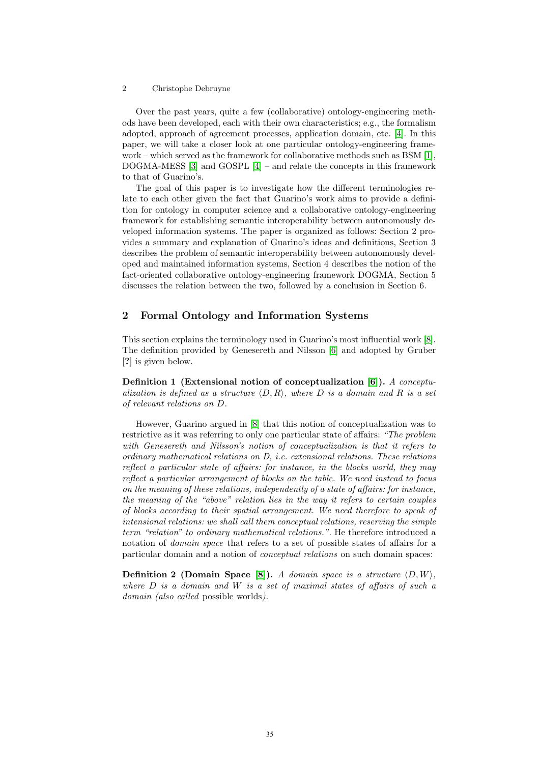Over the past years, quite a few (collaborative) ontology-engineering methods have been developed, each with their own characteristics; e.g., the formalism adopted, approach of agreement processes, application domain, etc. [\[4\]](#page-10-3). In this paper, we will take a closer look at one particular ontology-engineering framework – which served as the framework for collaborative methods such as BSM [\[1\]](#page-10-4), DOGMA-MESS [\[3\]](#page-10-5) and GOSPL [\[4\]](#page-10-3) – and relate the concepts in this framework to that of Guarino's.

The goal of this paper is to investigate how the different terminologies relate to each other given the fact that Guarino's work aims to provide a definition for ontology in computer science and a collaborative ontology-engineering framework for establishing semantic interoperability between autonomously developed information systems. The paper is organized as follows: Section 2 provides a summary and explanation of Guarino's ideas and definitions, Section 3 describes the problem of semantic interoperability between autonomously developed and maintained information systems, Section 4 describes the notion of the fact-oriented collaborative ontology-engineering framework DOGMA, Section 5 discusses the relation between the two, followed by a conclusion in Section 6.

## 2 Formal Ontology and Information Systems

This section explains the terminology used in Guarino's most influential work [\[8\]](#page-10-6). The definition provided by Genesereth and Nilsson [\[6\]](#page-10-1) and adopted by Gruber [?] is given below.

Definition 1 (Extensional notion of conceptualization  $[6]$ ). A conceptualization is defined as a structure  $\langle D, R \rangle$ , where D is a domain and R is a set of relevant relations on D.

However, Guarino argued in [\[8\]](#page-10-6) that this notion of conceptualization was to restrictive as it was referring to only one particular state of affairs: "The problem with Genesereth and Nilsson's notion of conceptualization is that it refers to ordinary mathematical relations on D, i.e. extensional relations. These relations reflect a particular state of affairs: for instance, in the blocks world, they may reflect a particular arrangement of blocks on the table. We need instead to focus on the meaning of these relations, independently of a state of affairs: for instance, the meaning of the "above" relation lies in the way it refers to certain couples of blocks according to their spatial arrangement. We need therefore to speak of intensional relations: we shall call them conceptual relations, reserving the simple term "relation" to ordinary mathematical relations.". He therefore introduced a notation of *domain space* that refers to a set of possible states of affairs for a particular domain and a notion of conceptual relations on such domain spaces:

**Definition 2 (Domain Space [\[8\]](#page-10-6)).** A domain space is a structure  $\langle D, W \rangle$ . where  $D$  is a domain and  $W$  is a set of maximal states of affairs of such a domain *(also called possible worlds)*.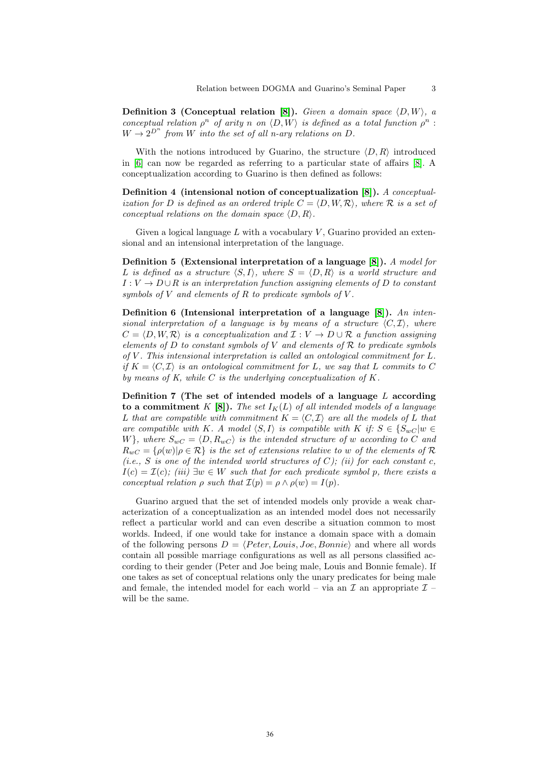**Definition 3 (Conceptual relation [\[8\]](#page-10-6)).** Given a domain space  $(D, W)$ , a conceptual relation  $\rho^n$  of arity n on  $\langle D, W \rangle$  is defined as a total function  $\rho^n$ :  $W \rightarrow 2^{D^n}$  from W into the set of all n-ary relations on D.

With the notions introduced by Guarino, the structure  $\langle D, R \rangle$  introduced in [\[6\]](#page-10-1) can now be regarded as referring to a particular state of affairs [\[8\]](#page-10-6). A conceptualization according to Guarino is then defined as follows:

Definition 4 (intensional notion of conceptualization [\[8\]](#page-10-6)). A conceptualization for D is defined as an ordered triple  $C = \langle D, W, R \rangle$ , where R is a set of conceptual relations on the domain space  $\langle D, R \rangle$ .

Given a logical language  $L$  with a vocabulary  $V$ , Guarino provided an extensional and an intensional interpretation of the language.

Definition 5 (Extensional interpretation of a language [\[8\]](#page-10-6)). A model for L is defined as a structure  $\langle S, I \rangle$ , where  $S = \langle D, R \rangle$  is a world structure and  $I: V \to D \cup R$  is an interpretation function assigning elements of D to constant symbols of  $V$  and elements of  $R$  to predicate symbols of  $V$ .

Definition 6 (Intensional interpretation of a language  $[8]$ ). An intensional interpretation of a language is by means of a structure  $\langle C, \mathcal{I} \rangle$ , where  $C = \langle D, W, R \rangle$  is a conceptualization and  $\mathcal{I} : V \to D \cup R$  a function assigning elements of  $D$  to constant symbols of  $V$  and elements of  $R$  to predicate symbols of  $V$ . This intensional interpretation is called an ontological commitment for  $L$ . if  $K = \langle C, \mathcal{I} \rangle$  is an ontological commitment for L, we say that L commits to C by means of K, while  $C$  is the underlying conceptualization of  $K$ .

Definition 7 (The set of intended models of a language  $L$  according to a commitment K [\[8\]](#page-10-6)). The set  $I_K(L)$  of all intended models of a language L that are compatible with commitment  $K = \langle C, \mathcal{I} \rangle$  are all the models of L that are compatible with K. A model  $\langle S, I \rangle$  is compatible with K if:  $S \in \{S_{wC} | w \in I\}$ W}, where  $S_{wC} = \langle D, R_{wC} \rangle$  is the intended structure of w according to C and  $R_{wC} = \{\rho(w) | \rho \in \mathcal{R}\}\$ is the set of extensions relative to w of the elements of  $\mathcal{R}$ (i.e., S is one of the intended world structures of C); (ii) for each constant c,  $I(c) = \mathcal{I}(c)$ ; (iii)  $\exists w \in W$  such that for each predicate symbol p, there exists a conceptual relation  $\rho$  such that  $\mathcal{I}(p) = \rho \wedge \rho(w) = I(p)$ .

Guarino argued that the set of intended models only provide a weak characterization of a conceptualization as an intended model does not necessarily reflect a particular world and can even describe a situation common to most worlds. Indeed, if one would take for instance a domain space with a domain of the following persons  $D = \langle Peter, Louis, Joe, Bonnie \rangle$  and where all words contain all possible marriage configurations as well as all persons classified according to their gender (Peter and Joe being male, Louis and Bonnie female). If one takes as set of conceptual relations only the unary predicates for being male and female, the intended model for each world – via an  $\mathcal I$  an appropriate  $\mathcal I$  – will be the same.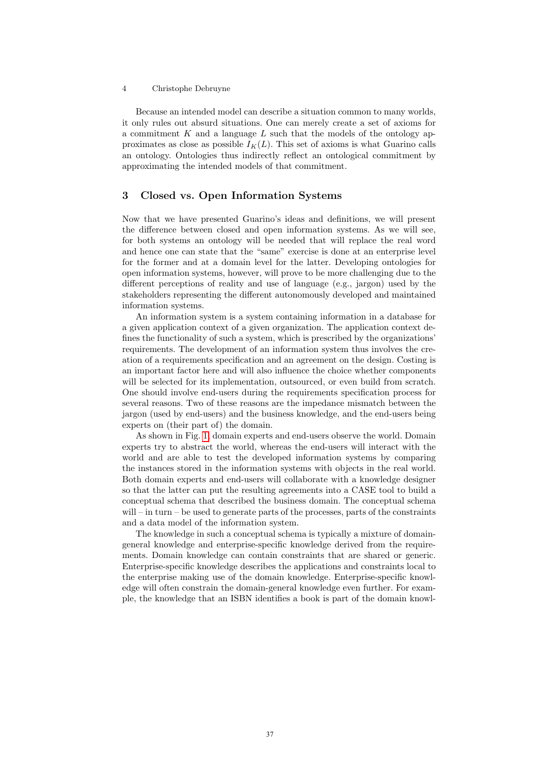Because an intended model can describe a situation common to many worlds, it only rules out absurd situations. One can merely create a set of axioms for a commitment  $K$  and a language  $L$  such that the models of the ontology approximates as close as possible  $I_K(L)$ . This set of axioms is what Guarino calls an ontology. Ontologies thus indirectly reflect an ontological commitment by approximating the intended models of that commitment.

# 3 Closed vs. Open Information Systems

Now that we have presented Guarino's ideas and definitions, we will present the difference between closed and open information systems. As we will see, for both systems an ontology will be needed that will replace the real word and hence one can state that the "same" exercise is done at an enterprise level for the former and at a domain level for the latter. Developing ontologies for open information systems, however, will prove to be more challenging due to the different perceptions of reality and use of language (e.g., jargon) used by the stakeholders representing the different autonomously developed and maintained information systems.

An information system is a system containing information in a database for a given application context of a given organization. The application context defines the functionality of such a system, which is prescribed by the organizations' requirements. The development of an information system thus involves the creation of a requirements specification and an agreement on the design. Costing is an important factor here and will also influence the choice whether components will be selected for its implementation, outsourced, or even build from scratch. One should involve end-users during the requirements specification process for several reasons. Two of these reasons are the impedance mismatch between the jargon (used by end-users) and the business knowledge, and the end-users being experts on (their part of) the domain.

As shown in Fig. [1,](#page-4-0) domain experts and end-users observe the world. Domain experts try to abstract the world, whereas the end-users will interact with the world and are able to test the developed information systems by comparing the instances stored in the information systems with objects in the real world. Both domain experts and end-users will collaborate with a knowledge designer so that the latter can put the resulting agreements into a CASE tool to build a conceptual schema that described the business domain. The conceptual schema will – in turn – be used to generate parts of the processes, parts of the constraints and a data model of the information system.

The knowledge in such a conceptual schema is typically a mixture of domaingeneral knowledge and enterprise-specific knowledge derived from the requirements. Domain knowledge can contain constraints that are shared or generic. Enterprise-specific knowledge describes the applications and constraints local to the enterprise making use of the domain knowledge. Enterprise-specific knowledge will often constrain the domain-general knowledge even further. For example, the knowledge that an ISBN identifies a book is part of the domain knowl-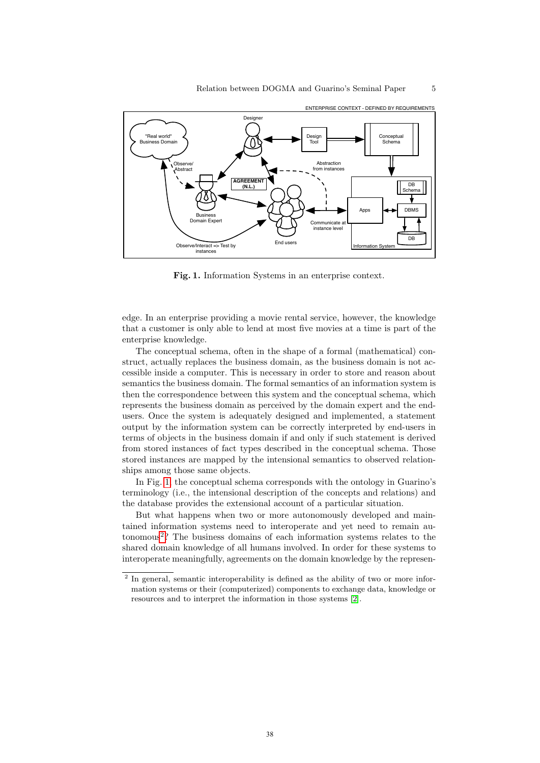

<span id="page-4-0"></span>Fig. 1. Information Systems in an enterprise context.

edge. In an enterprise providing a movie rental service, however, the knowledge that a customer is only able to lend at most five movies at a time is part of the enterprise knowledge.

The conceptual schema, often in the shape of a formal (mathematical) construct, actually replaces the business domain, as the business domain is not accessible inside a computer. This is necessary in order to store and reason about semantics the business domain. The formal semantics of an information system is then the correspondence between this system and the conceptual schema, which represents the business domain as perceived by the domain expert and the endusers. Once the system is adequately designed and implemented, a statement output by the information system can be correctly interpreted by end-users in terms of objects in the business domain if and only if such statement is derived from stored instances of fact types described in the conceptual schema. Those stored instances are mapped by the intensional semantics to observed relationships among those same objects.

In Fig. [1,](#page-4-0) the conceptual schema corresponds with the ontology in Guarino's terminology (i.e., the intensional description of the concepts and relations) and the database provides the extensional account of a particular situation.

But what happens when two or more autonomously developed and maintained information systems need to interoperate and yet need to remain au-tonomous<sup>[2](#page-4-1)</sup>? The business domains of each information systems relates to the shared domain knowledge of all humans involved. In order for these systems to interoperate meaningfully, agreements on the domain knowledge by the represen-

<span id="page-4-1"></span><sup>&</sup>lt;sup>2</sup> In general, semantic interoperability is defined as the ability of two or more information systems or their (computerized) components to exchange data, knowledge or resources and to interpret the information in those systems [\[2\]](#page-10-7).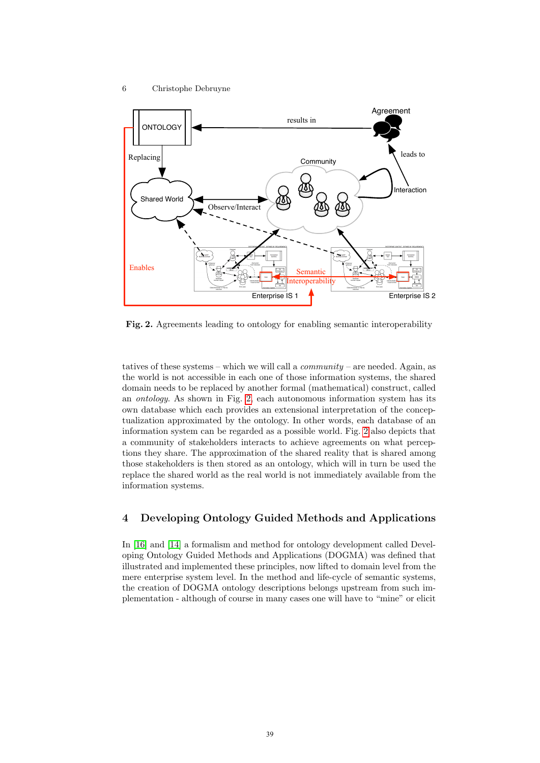

<span id="page-5-0"></span>Fig. 2. Agreements leading to ontology for enabling semantic interoperability

tatives of these systems – which we will call a *community* – are needed. Again, as the world is not accessible in each one of those information systems, the shared domain needs to be replaced by another formal (mathematical) construct, called an ontology. As shown in Fig. [2,](#page-5-0) each autonomous information system has its own database which each provides an extensional interpretation of the conceptualization approximated by the ontology. In other words, each database of an information system can be regarded as a possible world. Fig. [2](#page-5-0) also depicts that a community of stakeholders interacts to achieve agreements on what perceptions they share. The approximation of the shared reality that is shared among those stakeholders is then stored as an ontology, which will in turn be used the replace the shared world as the real world is not immediately available from the information systems.

# 4 Developing Ontology Guided Methods and Applications

In [\[16\]](#page-10-8) and [\[14\]](#page-10-9) a formalism and method for ontology development called Developing Ontology Guided Methods and Applications (DOGMA) was defined that illustrated and implemented these principles, now lifted to domain level from the mere enterprise system level. In the method and life-cycle of semantic systems, the creation of DOGMA ontology descriptions belongs upstream from such implementation - although of course in many cases one will have to "mine" or elicit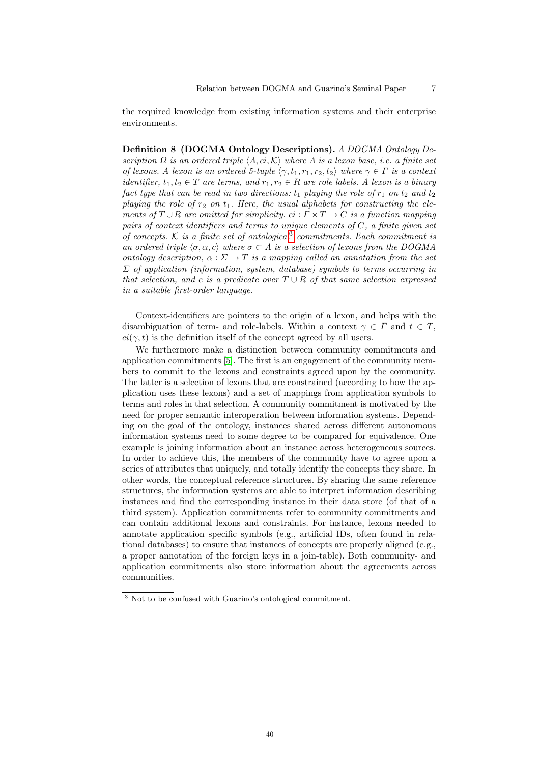the required knowledge from existing information systems and their enterprise environments.

Definition 8 (DOGMA Ontology Descriptions). A DOGMA Ontology Description  $\Omega$  is an ordered triple  $\langle \Lambda, ci, \mathcal{K} \rangle$  where  $\Lambda$  is a lexon base, i.e. a finite set of lexons. A lexon is an ordered 5-tuple  $\langle \gamma, t_1, r_1, r_2, t_2 \rangle$  where  $\gamma \in \Gamma$  is a context *identifier,*  $t_1, t_2 \in T$  are terms, and  $r_1, r_2 \in R$  are role labels. A lexon is a binary fact type that can be read in two directions:  $t_1$  playing the role of  $r_1$  on  $t_2$  and  $t_2$ playing the role of  $r_2$  on  $t_1$ . Here, the usual alphabets for constructing the elements of  $T \cup R$  are omitted for simplicity.  $ci : \Gamma \times T \to C$  is a function mapping pairs of context identifiers and terms to unique elements of  $C$ , a finite given set of concepts.  $K$  is a finite set of ontological<sup>[3](#page-6-0)</sup> commitments. Each commitment is an ordered triple  $\langle \sigma, \alpha, c \rangle$  where  $\sigma \subset \Lambda$  is a selection of lexons from the DOGMA ontology description,  $\alpha : \Sigma \to T$  is a mapping called an annotation from the set  $\Sigma$  of application (information, system, database) symbols to terms occurring in that selection, and c is a predicate over  $T \cup R$  of that same selection expressed in a suitable first-order language.

Context-identifiers are pointers to the origin of a lexon, and helps with the disambiguation of term- and role-labels. Within a context  $\gamma \in \Gamma$  and  $t \in T$ ,  $ci(\gamma, t)$  is the definition itself of the concept agreed by all users.

We furthermore make a distinction between community commitments and application commitments [\[5\]](#page-10-10). The first is an engagement of the community members to commit to the lexons and constraints agreed upon by the community. The latter is a selection of lexons that are constrained (according to how the application uses these lexons) and a set of mappings from application symbols to terms and roles in that selection. A community commitment is motivated by the need for proper semantic interoperation between information systems. Depending on the goal of the ontology, instances shared across different autonomous information systems need to some degree to be compared for equivalence. One example is joining information about an instance across heterogeneous sources. In order to achieve this, the members of the community have to agree upon a series of attributes that uniquely, and totally identify the concepts they share. In other words, the conceptual reference structures. By sharing the same reference structures, the information systems are able to interpret information describing instances and find the corresponding instance in their data store (of that of a third system). Application commitments refer to community commitments and can contain additional lexons and constraints. For instance, lexons needed to annotate application specific symbols (e.g., artificial IDs, often found in relational databases) to ensure that instances of concepts are properly aligned (e.g., a proper annotation of the foreign keys in a join-table). Both community- and application commitments also store information about the agreements across communities.

<span id="page-6-0"></span><sup>3</sup> Not to be confused with Guarino's ontological commitment.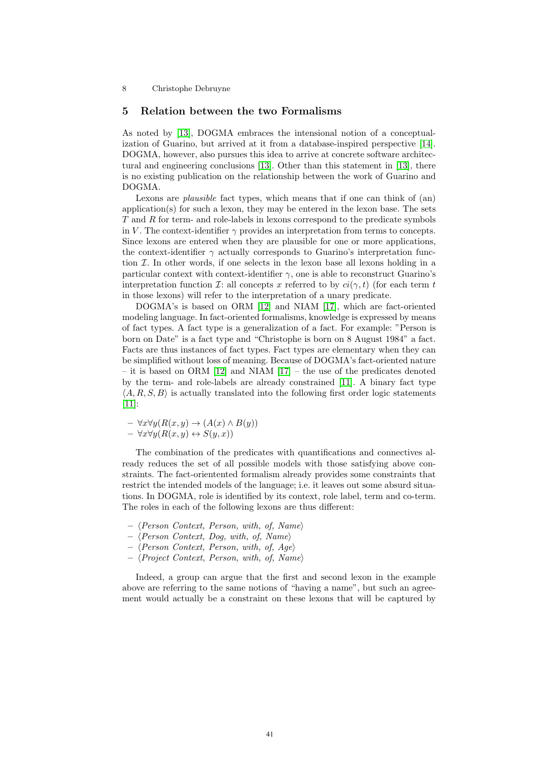## 5 Relation between the two Formalisms

As noted by [\[13\]](#page-10-11), DOGMA embraces the intensional notion of a conceptualization of Guarino, but arrived at it from a database-inspired perspective [\[14\]](#page-10-9). DOGMA, however, also pursues this idea to arrive at concrete software architectural and engineering conclusions [\[13\]](#page-10-11). Other than this statement in [\[13\]](#page-10-11), there is no existing publication on the relationship between the work of Guarino and DOGMA.

Lexons are *plausible* fact types, which means that if one can think of (an) application(s) for such a lexon, they may be entered in the lexon base. The sets T and R for term- and role-labels in lexons correspond to the predicate symbols in V. The context-identifier  $\gamma$  provides an interpretation from terms to concepts. Since lexons are entered when they are plausible for one or more applications, the context-identifier  $\gamma$  actually corresponds to Guarino's interpretation function  $\mathcal I$ . In other words, if one selects in the lexon base all lexons holding in a particular context with context-identifier  $\gamma$ , one is able to reconstruct Guarino's interpretation function I: all concepts x referred to by  $ci(\gamma, t)$  (for each term t in those lexons) will refer to the interpretation of a unary predicate.

DOGMA's is based on ORM [\[12\]](#page-10-12) and NIAM [\[17\]](#page-10-13), which are fact-oriented modeling language. In fact-oriented formalisms, knowledge is expressed by means of fact types. A fact type is a generalization of a fact. For example: "Person is born on Date" is a fact type and "Christophe is born on 8 August 1984" a fact. Facts are thus instances of fact types. Fact types are elementary when they can be simplified without loss of meaning. Because of DOGMA's fact-oriented nature – it is based on ORM [\[12\]](#page-10-12) and NIAM [\[17\]](#page-10-13) – the use of the predicates denoted by the term- and role-labels are already constrained [\[11\]](#page-10-14). A binary fact type  $\langle A, R, S, B \rangle$  is actually translated into the following first order logic statements [\[11\]](#page-10-14):

 $- \forall x \forall y (R(x, y) \rightarrow (A(x) \land B(y)))$  $- \forall x \forall y (R(x, y) \leftrightarrow S(y, x))$ 

The combination of the predicates with quantifications and connectives already reduces the set of all possible models with those satisfying above constraints. The fact-orientented formalism already provides some constraints that restrict the intended models of the language; i.e. it leaves out some absurd situations. In DOGMA, role is identified by its context, role label, term and co-term. The roles in each of the following lexons are thus different:

- $\langle Person\ Content, Person, with, of, Name \rangle$
- $\langle Person\ Content, Dog, with, of, Name \rangle$
- $\langle Person\ Content, Person, with, of, Age \rangle$
- $\langle Project\;Context, Person, with, of, Name \rangle$

Indeed, a group can argue that the first and second lexon in the example above are referring to the same notions of "having a name", but such an agreement would actually be a constraint on these lexons that will be captured by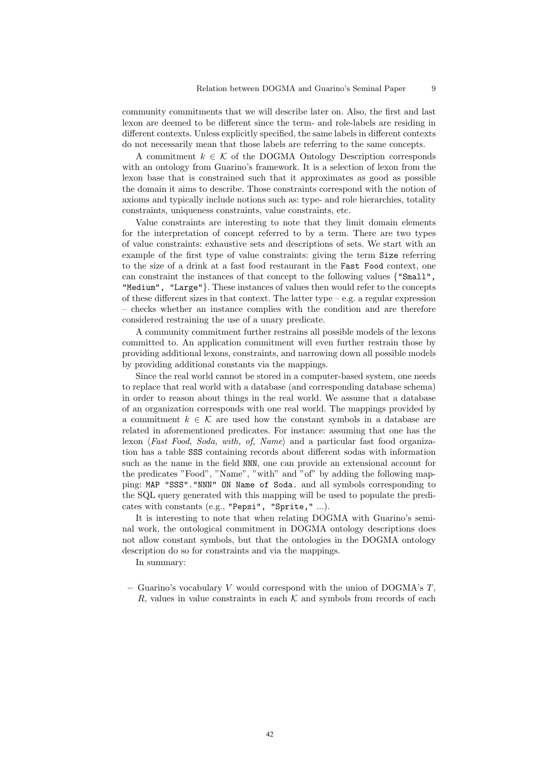community commitments that we will describe later on. Also, the first and last lexon are deemed to be different since the term- and role-labels are residing in different contexts. Unless explicitly specified, the same labels in different contexts do not necessarily mean that those labels are referring to the same concepts.

A commitment  $k \in \mathcal{K}$  of the DOGMA Ontology Description corresponds with an ontology from Guarino's framework. It is a selection of lexon from the lexon base that is constrained such that it approximates as good as possible the domain it aims to describe. Those constraints correspond with the notion of axioms and typically include notions such as: type- and role hierarchies, totality constraints, uniqueness constraints, value constraints, etc.

Value constraints are interesting to note that they limit domain elements for the interpretation of concept referred to by a term. There are two types of value constraints: exhaustive sets and descriptions of sets. We start with an example of the first type of value constraints: giving the term Size referring to the size of a drink at a fast food restaurant in the Fast Food context, one can constraint the instances of that concept to the following values {"Small", "Medium", "Large"}. These instances of values then would refer to the concepts of these different sizes in that context. The latter type – e.g. a regular expression – checks whether an instance complies with the condition and are therefore considered restraining the use of a unary predicate.

A community commitment further restrains all possible models of the lexons committed to. An application commitment will even further restrain those by providing additional lexons, constraints, and narrowing down all possible models by providing additional constants via the mappings.

Since the real world cannot be stored in a computer-based system, one needs to replace that real world with a database (and corresponding database schema) in order to reason about things in the real world. We assume that a database of an organization corresponds with one real world. The mappings provided by a commitment  $k \in \mathcal{K}$  are used how the constant symbols in a database are related in aforementioned predicates. For instance: assuming that one has the lexon (Fast Food, Soda, with, of, Name) and a particular fast food organization has a table SSS containing records about different sodas with information such as the name in the field NNN, one can provide an extensional account for the predicates "Food", "Name", "with" and "of" by adding the following mapping: MAP "SSS"."NNN" ON Name of Soda. and all symbols corresponding to the SQL query generated with this mapping will be used to populate the predicates with constants (e.g., "Pepsi", "Sprite," ...).

It is interesting to note that when relating DOGMA with Guarino's seminal work, the ontological commitment in DOGMA ontology descriptions does not allow constant symbols, but that the ontologies in the DOGMA ontology description do so for constraints and via the mappings.

In summary:

– Guarino's vocabulary V would correspond with the union of DOGMA's  $T$ , R, values in value constraints in each  $K$  and symbols from records of each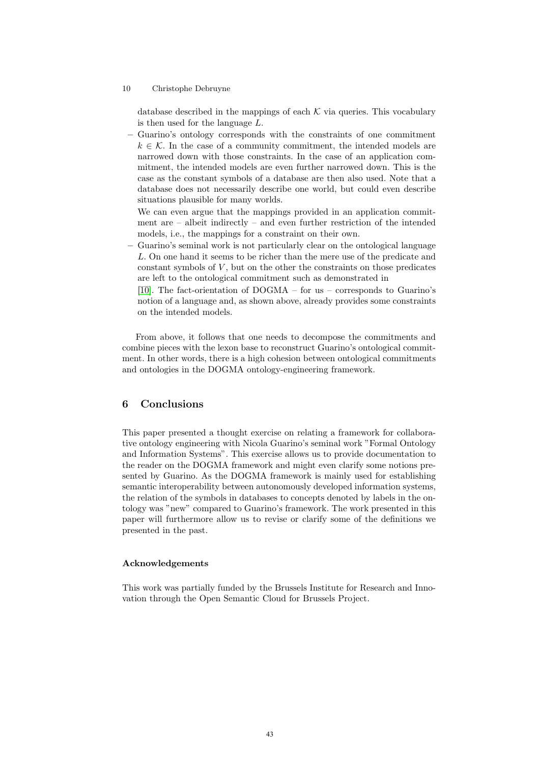database described in the mappings of each  $K$  via queries. This vocabulary is then used for the language L.

– Guarino's ontology corresponds with the constraints of one commitment  $k \in \mathcal{K}$ . In the case of a community commitment, the intended models are narrowed down with those constraints. In the case of an application commitment, the intended models are even further narrowed down. This is the case as the constant symbols of a database are then also used. Note that a database does not necessarily describe one world, but could even describe situations plausible for many worlds.

We can even argue that the mappings provided in an application commitment are – albeit indirectly – and even further restriction of the intended models, i.e., the mappings for a constraint on their own.

– Guarino's seminal work is not particularly clear on the ontological language L. On one hand it seems to be richer than the mere use of the predicate and constant symbols of  $V$ , but on the other the constraints on those predicates are left to the ontological commitment such as demonstrated in

[\[10\]](#page-10-15). The fact-orientation of DOGMA – for us – corresponds to Guarino's notion of a language and, as shown above, already provides some constraints on the intended models.

From above, it follows that one needs to decompose the commitments and combine pieces with the lexon base to reconstruct Guarino's ontological commitment. In other words, there is a high cohesion between ontological commitments and ontologies in the DOGMA ontology-engineering framework.

## 6 Conclusions

This paper presented a thought exercise on relating a framework for collaborative ontology engineering with Nicola Guarino's seminal work "Formal Ontology and Information Systems". This exercise allows us to provide documentation to the reader on the DOGMA framework and might even clarify some notions presented by Guarino. As the DOGMA framework is mainly used for establishing semantic interoperability between autonomously developed information systems, the relation of the symbols in databases to concepts denoted by labels in the ontology was "new" compared to Guarino's framework. The work presented in this paper will furthermore allow us to revise or clarify some of the definitions we presented in the past.

#### Acknowledgements

This work was partially funded by the Brussels Institute for Research and Innovation through the Open Semantic Cloud for Brussels Project.